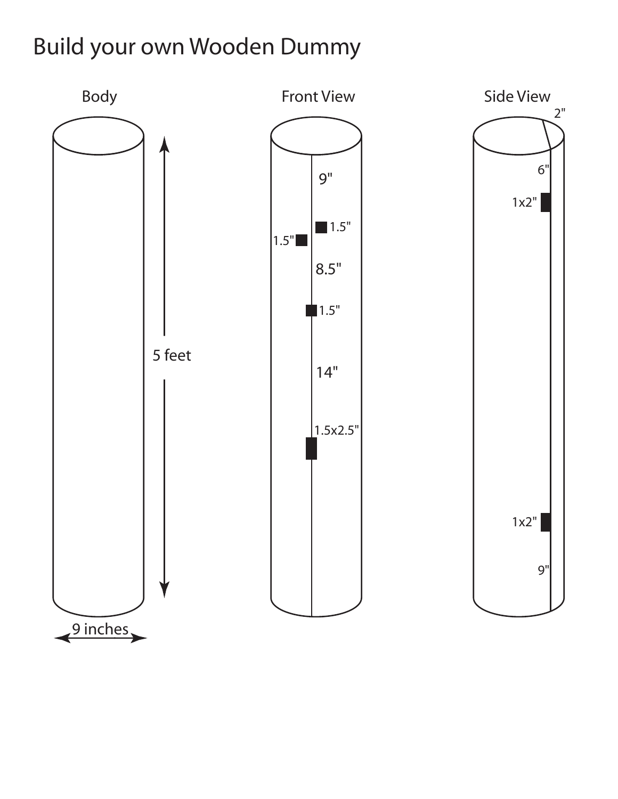## Build your own Wooden Dummy

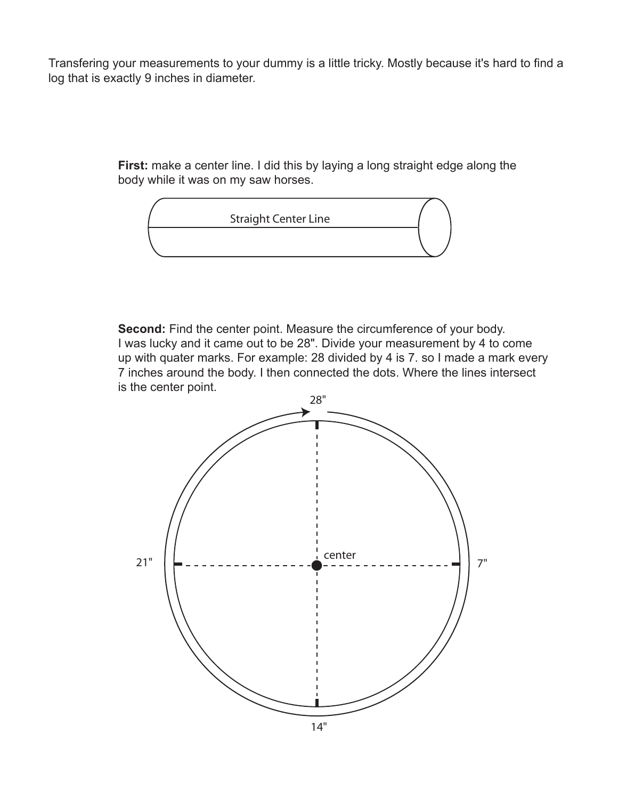Transfering your measurements to your dummy is a little tricky. Mostly because it's hard to find a log that is exactly 9 inches in diameter.

> **First:** make a center line. I did this by laying a long straight edge along the body while it was on my saw horses.



**Second:** Find the center point. Measure the circumference of your body. I was lucky and it came out to be 28". Divide your measurement by 4 to come up with quater marks. For example: 28 divided by 4 is 7. so I made a mark every 7 inches around the body. I then connected the dots. Where the lines intersect is the center point.

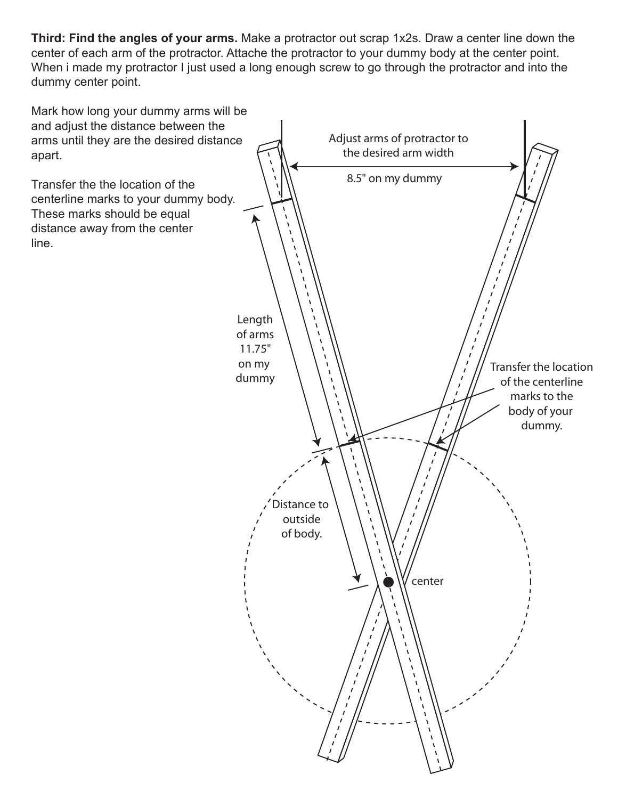**Third: Find the angles of your arms.** Make a protractor out scrap 1x2s. Draw a center line down the center of each arm of the protractor. Attache the protractor to your dummy body at the center point. When i made my protractor I just used a long enough screw to go through the protractor and into the dummy center point.

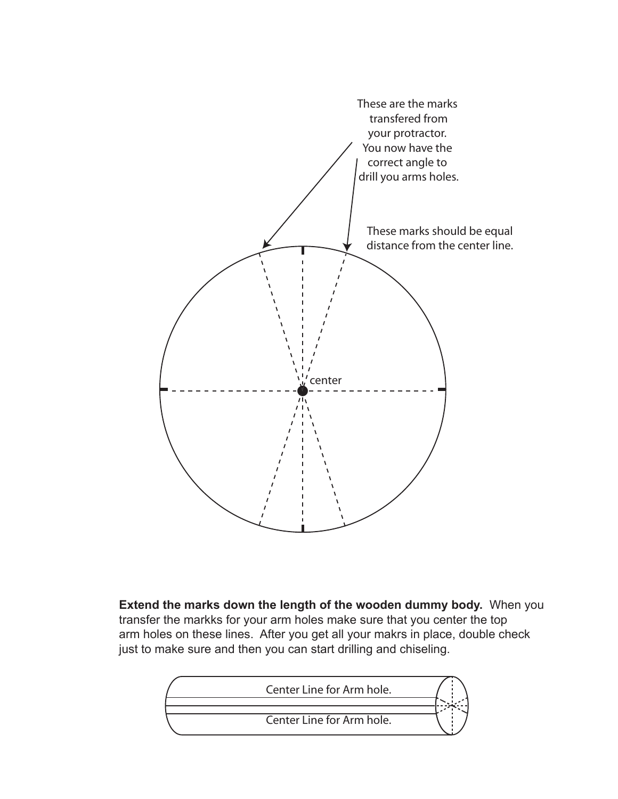

**Extend the marks down the length of the wooden dummy body.** When you transfer the markks for your arm holes make sure that you center the top arm holes on these lines. After you get all your makrs in place, double check just to make sure and then you can start drilling and chiseling.

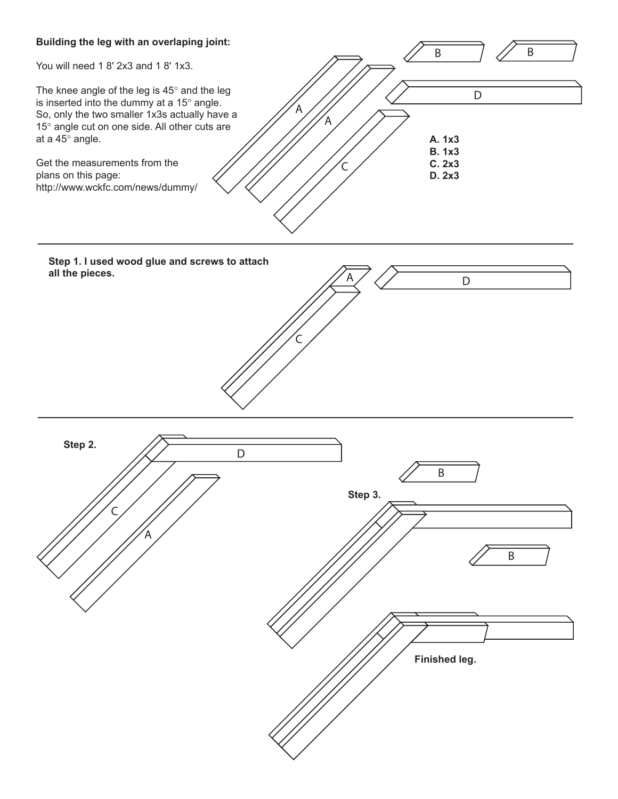